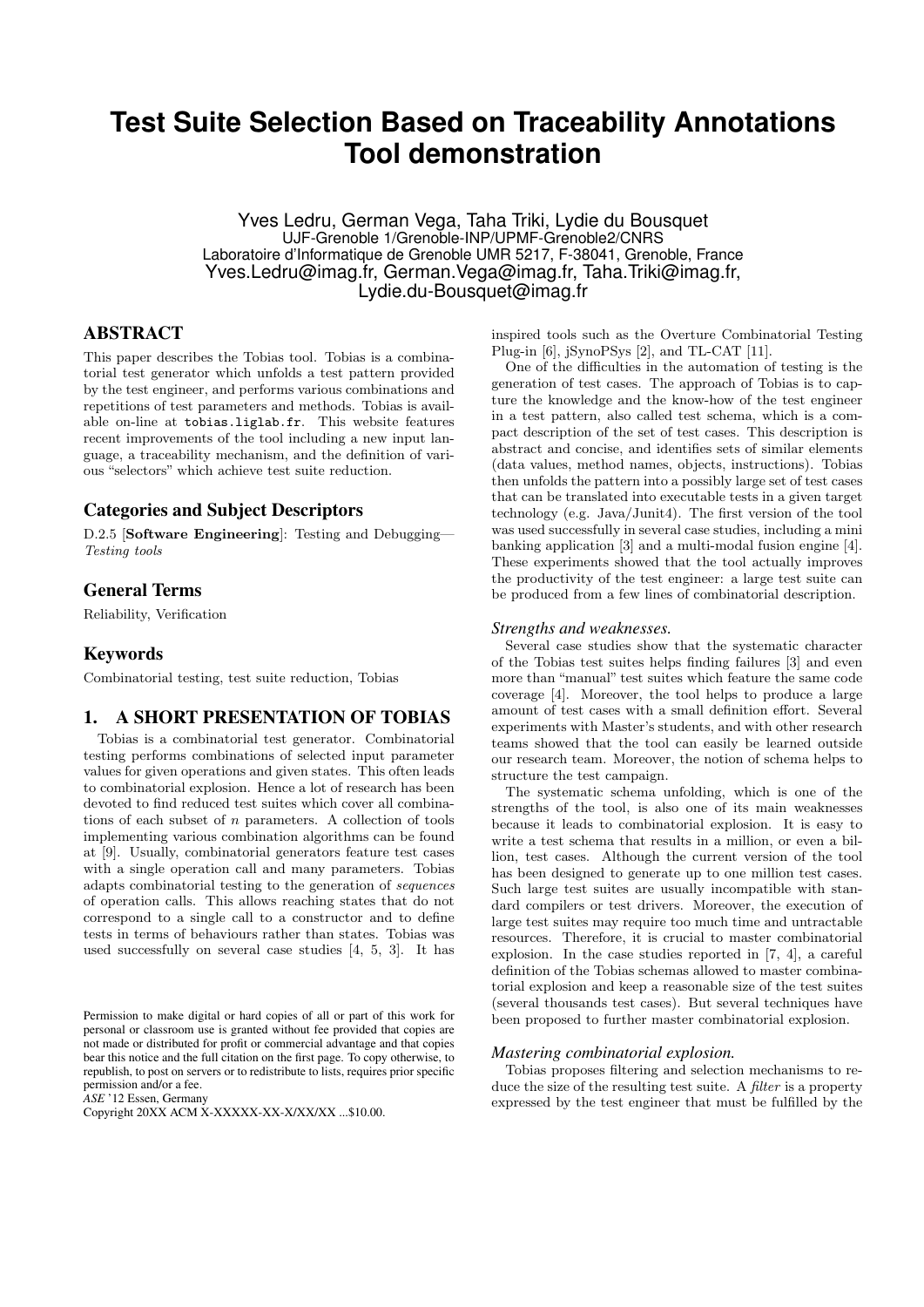# **Test Suite Selection Based on Traceability Annotations Tool demonstration**

Yves Ledru, German Vega, Taha Triki, Lydie du Bousquet UJF-Grenoble 1/Grenoble-INP/UPMF-Grenoble2/CNRS Laboratoire d'Informatique de Grenoble UMR 5217, F-38041, Grenoble, France Yves.Ledru@imag.fr, German.Vega@imag.fr, Taha.Triki@imag.fr, Lydie.du-Bousquet@imag.fr

## ABSTRACT

This paper describes the Tobias tool. Tobias is a combinatorial test generator which unfolds a test pattern provided by the test engineer, and performs various combinations and repetitions of test parameters and methods. Tobias is available on-line at tobias.liglab.fr. This website features recent improvements of the tool including a new input language, a traceability mechanism, and the definition of various "selectors" which achieve test suite reduction.

## Categories and Subject Descriptors

D.2.5 [Software Engineering]: Testing and Debugging— Testing tools

## General Terms

Reliability, Verification

## Keywords

Combinatorial testing, test suite reduction, Tobias

## 1. A SHORT PRESENTATION OF TOBIAS

Tobias is a combinatorial test generator. Combinatorial testing performs combinations of selected input parameter values for given operations and given states. This often leads to combinatorial explosion. Hence a lot of research has been devoted to find reduced test suites which cover all combinations of each subset of n parameters. A collection of tools implementing various combination algorithms can be found at [9]. Usually, combinatorial generators feature test cases with a single operation call and many parameters. Tobias adapts combinatorial testing to the generation of sequences of operation calls. This allows reaching states that do not correspond to a single call to a constructor and to define tests in terms of behaviours rather than states. Tobias was used successfully on several case studies [4, 5, 3]. It has

*ASE* '12 Essen, Germany

inspired tools such as the Overture Combinatorial Testing Plug-in [6], jSynoPSys [2], and TL-CAT [11].

One of the difficulties in the automation of testing is the generation of test cases. The approach of Tobias is to capture the knowledge and the know-how of the test engineer in a test pattern, also called test schema, which is a compact description of the set of test cases. This description is abstract and concise, and identifies sets of similar elements (data values, method names, objects, instructions). Tobias then unfolds the pattern into a possibly large set of test cases that can be translated into executable tests in a given target technology (e.g. Java/Junit4). The first version of the tool was used successfully in several case studies, including a mini banking application [3] and a multi-modal fusion engine [4]. These experiments showed that the tool actually improves the productivity of the test engineer: a large test suite can be produced from a few lines of combinatorial description.

#### *Strengths and weaknesses.*

Several case studies show that the systematic character of the Tobias test suites helps finding failures [3] and even more than "manual" test suites which feature the same code coverage [4]. Moreover, the tool helps to produce a large amount of test cases with a small definition effort. Several experiments with Master's students, and with other research teams showed that the tool can easily be learned outside our research team. Moreover, the notion of schema helps to structure the test campaign.

The systematic schema unfolding, which is one of the strengths of the tool, is also one of its main weaknesses because it leads to combinatorial explosion. It is easy to write a test schema that results in a million, or even a billion, test cases. Although the current version of the tool has been designed to generate up to one million test cases. Such large test suites are usually incompatible with standard compilers or test drivers. Moreover, the execution of large test suites may require too much time and untractable resources. Therefore, it is crucial to master combinatorial explosion. In the case studies reported in [7, 4], a careful definition of the Tobias schemas allowed to master combinatorial explosion and keep a reasonable size of the test suites (several thousands test cases). But several techniques have been proposed to further master combinatorial explosion.

#### *Mastering combinatorial explosion.*

Tobias proposes filtering and selection mechanisms to reduce the size of the resulting test suite. A *filter* is a property expressed by the test engineer that must be fulfilled by the

Permission to make digital or hard copies of all or part of this work for personal or classroom use is granted without fee provided that copies are not made or distributed for profit or commercial advantage and that copies bear this notice and the full citation on the first page. To copy otherwise, to republish, to post on servers or to redistribute to lists, requires prior specific permission and/or a fee.

Copyright 20XX ACM X-XXXXX-XX-X/XX/XX ...\$10.00.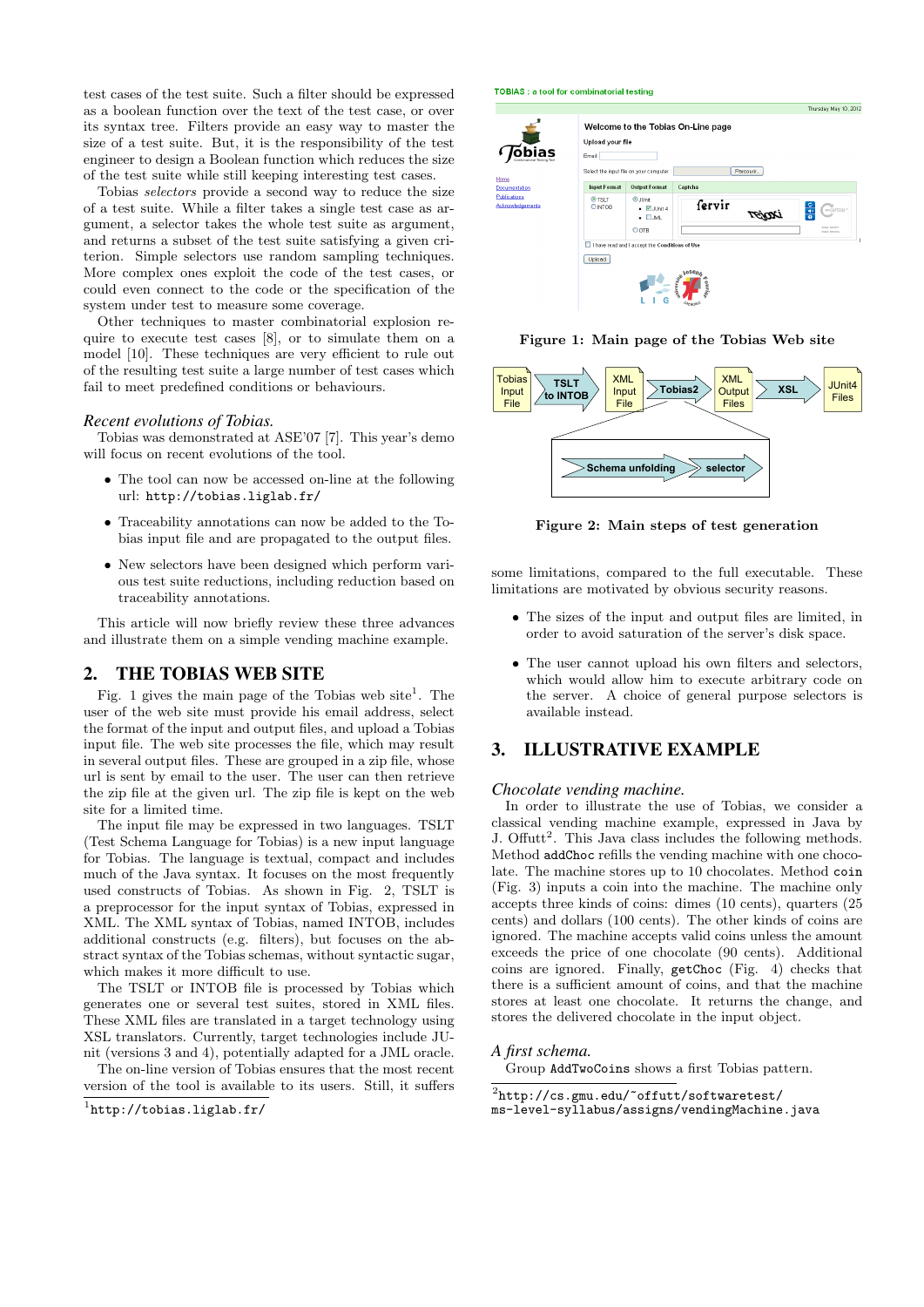test cases of the test suite. Such a filter should be expressed as a boolean function over the text of the test case, or over its syntax tree. Filters provide an easy way to master the size of a test suite. But, it is the responsibility of the test engineer to design a Boolean function which reduces the size of the test suite while still keeping interesting test cases.

Tobias selectors provide a second way to reduce the size of a test suite. While a filter takes a single test case as argument, a selector takes the whole test suite as argument, and returns a subset of the test suite satisfying a given criterion. Simple selectors use random sampling techniques. More complex ones exploit the code of the test cases, or could even connect to the code or the specification of the system under test to measure some coverage.

Other techniques to master combinatorial explosion require to execute test cases [8], or to simulate them on a model [10]. These techniques are very efficient to rule out of the resulting test suite a large number of test cases which fail to meet predefined conditions or behaviours.

#### *Recent evolutions of Tobias.*

Tobias was demonstrated at ASE'07 [7]. This year's demo will focus on recent evolutions of the tool.

- The tool can now be accessed on-line at the following url: http://tobias.liglab.fr/
- Traceability annotations can now be added to the Tobias input file and are propagated to the output files.
- New selectors have been designed which perform various test suite reductions, including reduction based on traceability annotations.

This article will now briefly review these three advances and illustrate them on a simple vending machine example.

#### 2. THE TOBIAS WEB SITE

Fig. 1 gives the main page of the Tobias web site<sup>1</sup>. The user of the web site must provide his email address, select the format of the input and output files, and upload a Tobias input file. The web site processes the file, which may result in several output files. These are grouped in a zip file, whose url is sent by email to the user. The user can then retrieve the zip file at the given url. The zip file is kept on the web site for a limited time.

The input file may be expressed in two languages. TSLT (Test Schema Language for Tobias) is a new input language for Tobias. The language is textual, compact and includes much of the Java syntax. It focuses on the most frequently used constructs of Tobias. As shown in Fig. 2, TSLT is a preprocessor for the input syntax of Tobias, expressed in XML. The XML syntax of Tobias, named INTOB, includes additional constructs (e.g. filters), but focuses on the abstract syntax of the Tobias schemas, without syntactic sugar, which makes it more difficult to use.

The TSLT or INTOB file is processed by Tobias which generates one or several test suites, stored in XML files. These XML files are translated in a target technology using XSL translators. Currently, target technologies include JUnit (versions 3 and 4), potentially adapted for a JML oracle.

The on-line version of Tobias ensures that the most recent version of the tool is available to its users. Still, it suffers **TOBIAS: a tool for combinatorial testing** 

|                                         |                                                                                                                           |                                                                                |                                          | consequently could call material                                           |
|-----------------------------------------|---------------------------------------------------------------------------------------------------------------------------|--------------------------------------------------------------------------------|------------------------------------------|----------------------------------------------------------------------------|
| Combinatorial Testing Top               | Welcome to the Tobias On-Line page<br>Upload your file<br>Email:<br>Select the input file on your computer :<br>Parcourir |                                                                                |                                          |                                                                            |
| Home                                    |                                                                                                                           |                                                                                |                                          |                                                                            |
| Documentation                           | <b>Input Format</b>                                                                                                       | <b>Output Format</b>                                                           | Captcha                                  |                                                                            |
| <b>Publications</b><br>Acknowledgements | $\odot$ TSLT<br>O INTOB                                                                                                   | $\odot$ JUnit<br>$\bullet$ $\blacksquare$ JUnit 4<br>$\bullet$ DJML<br>$O$ OTB | fervir                                   | ROCAPTCHA <sup>11</sup><br>$\frac{1}{\alpha}$<br>stop spam.<br>read books. |
|                                         | I I have read and I accept the Conditions of Use                                                                          |                                                                                |                                          |                                                                            |
|                                         | Upload                                                                                                                    |                                                                                |                                          |                                                                            |
|                                         |                                                                                                                           | G                                                                              | yose.<br>Nvers <sub>ide</sub><br>GRENOSO |                                                                            |

Figure 1: Main page of the Tobias Web site



Figure 2: Main steps of test generation

some limitations, compared to the full executable. These limitations are motivated by obvious security reasons.

- The sizes of the input and output files are limited, in order to avoid saturation of the server's disk space.
- The user cannot upload his own filters and selectors, which would allow him to execute arbitrary code on the server. A choice of general purpose selectors is available instead.

### 3. ILLUSTRATIVE EXAMPLE

#### *Chocolate vending machine.*

In order to illustrate the use of Tobias, we consider a classical vending machine example, expressed in Java by J. Offutt<sup>2</sup>. This Java class includes the following methods. Method addChoc refills the vending machine with one chocolate. The machine stores up to 10 chocolates. Method coin (Fig. 3) inputs a coin into the machine. The machine only accepts three kinds of coins: dimes (10 cents), quarters (25 cents) and dollars (100 cents). The other kinds of coins are ignored. The machine accepts valid coins unless the amount exceeds the price of one chocolate (90 cents). Additional coins are ignored. Finally, getChoc (Fig. 4) checks that there is a sufficient amount of coins, and that the machine stores at least one chocolate. It returns the change, and stores the delivered chocolate in the input object.

#### *A first schema.*

Group AddTwoCoins shows a first Tobias pattern.

 $1$ http://tobias.liglab.fr/

 $^{2}$ http://cs.gmu.edu/~offutt/softwaretest/

ms-level-syllabus/assigns/vendingMachine.java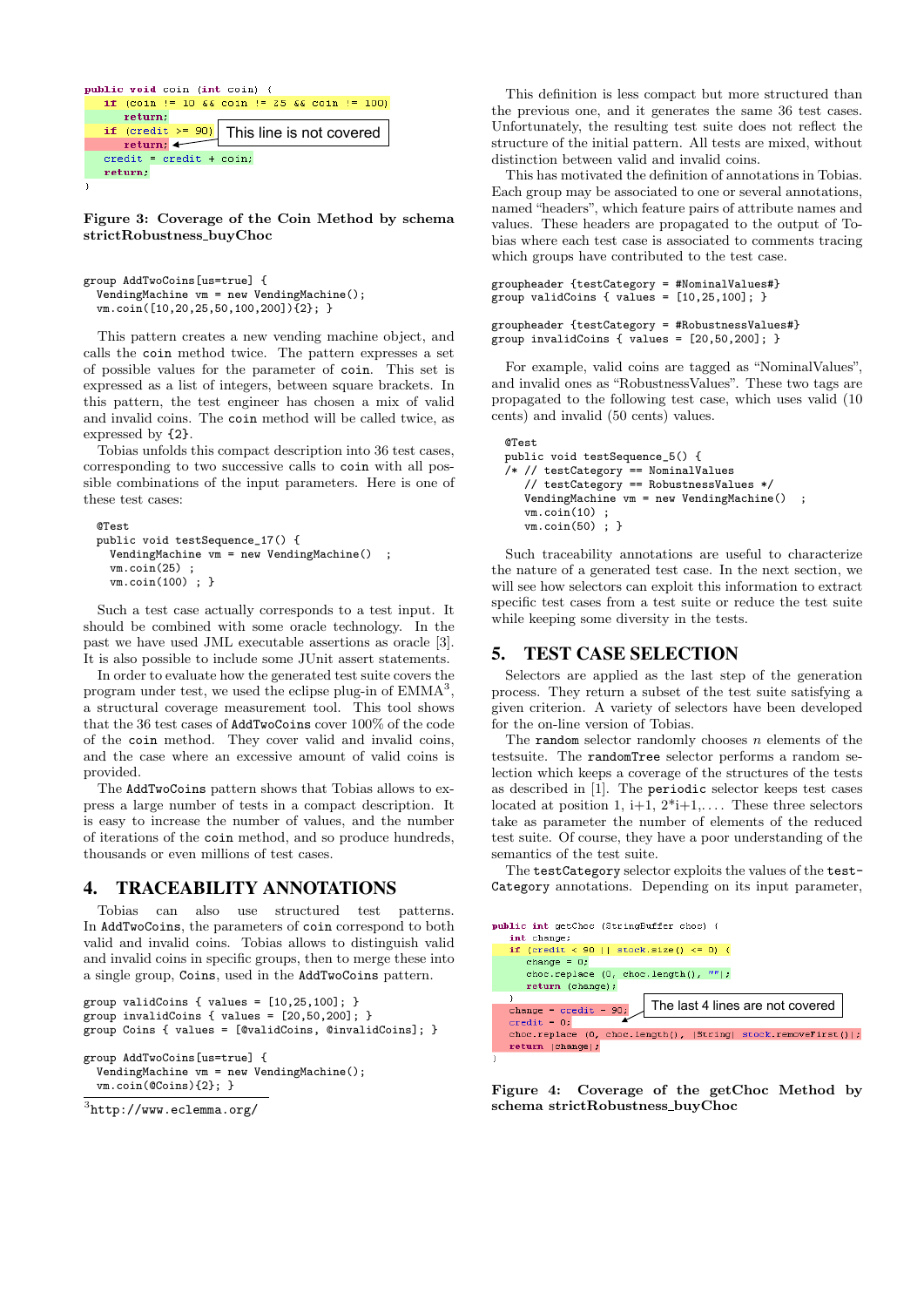

Figure 3: Coverage of the Coin Method by schema strictRobustness buyChoc

```
group AddTwoCoins[us=true] {
  VendingMachine vm = new VendingMachine();
  vm.coin([10,20,25,50,100,200]){2}; }
```
This pattern creates a new vending machine object, and calls the coin method twice. The pattern expresses a set of possible values for the parameter of coin. This set is expressed as a list of integers, between square brackets. In this pattern, the test engineer has chosen a mix of valid and invalid coins. The coin method will be called twice, as expressed by {2}.

Tobias unfolds this compact description into 36 test cases, corresponding to two successive calls to coin with all possible combinations of the input parameters. Here is one of these test cases:

```
@Test
```

```
public void testSequence_17() {
 VendingMachine vm = new VendingMachine() ;
  vm.coin(25)vm.coin(100) ; }
```
Such a test case actually corresponds to a test input. It should be combined with some oracle technology. In the past we have used JML executable assertions as oracle [3]. It is also possible to include some JUnit assert statements.

In order to evaluate how the generated test suite covers the program under test, we used the eclipse plug-in of  $\text{EMMA}^3$ , a structural coverage measurement tool. This tool shows that the 36 test cases of AddTwoCoins cover 100% of the code of the coin method. They cover valid and invalid coins, and the case where an excessive amount of valid coins is provided.

The AddTwoCoins pattern shows that Tobias allows to express a large number of tests in a compact description. It is easy to increase the number of values, and the number of iterations of the coin method, and so produce hundreds, thousands or even millions of test cases.

## 4. TRACEABILITY ANNOTATIONS

Tobias can also use structured test patterns. In AddTwoCoins, the parameters of coin correspond to both valid and invalid coins. Tobias allows to distinguish valid and invalid coins in specific groups, then to merge these into a single group, Coins, used in the AddTwoCoins pattern.

```
group validCoins { values = [10,25,100]; }
group invalidCoins { values = [20,50,200]; }
group Coins { values = [@validCoins, @invalidCoins]; }
```

```
group AddTwoCoins[us=true] {
  VendingMachine vm = new VendingMachine();
  vm.coin(@Coins){2}; }
```

```
^3http://www.eclemma.org/
```
This definition is less compact but more structured than the previous one, and it generates the same 36 test cases. Unfortunately, the resulting test suite does not reflect the structure of the initial pattern. All tests are mixed, without distinction between valid and invalid coins.

This has motivated the definition of annotations in Tobias. Each group may be associated to one or several annotations, named "headers", which feature pairs of attribute names and values. These headers are propagated to the output of Tobias where each test case is associated to comments tracing which groups have contributed to the test case.

```
groupheader {testCategory = #NominalValues#}
group validCoins { values = [10,25,100]; }
groupheader {testCategory = #RobustnessValues#}
group invalidCoins { values = [20,50,200]; }
```
For example, valid coins are tagged as "NominalValues", and invalid ones as "RobustnessValues". These two tags are propagated to the following test case, which uses valid (10 cents) and invalid (50 cents) values.

```
@Test
public void testSequence_5() {
/* // testCategory == NominalValues
   // testCategory == RobustnessValues */
   VendingMachine vm = new VendingMachine() ;
   vm.coin(10) ;
   vm.coin(50) ; }
```
Such traceability annotations are useful to characterize the nature of a generated test case. In the next section, we will see how selectors can exploit this information to extract specific test cases from a test suite or reduce the test suite while keeping some diversity in the tests.

# 5. TEST CASE SELECTION

Selectors are applied as the last step of the generation process. They return a subset of the test suite satisfying a given criterion. A variety of selectors have been developed for the on-line version of Tobias.

The random selector randomly chooses  $n$  elements of the testsuite. The randomTree selector performs a random selection which keeps a coverage of the structures of the tests as described in [1]. The periodic selector keeps test cases located at position 1,  $i+1$ ,  $2^*i+1$ ,.... These three selectors take as parameter the number of elements of the reduced test suite. Of course, they have a poor understanding of the semantics of the test suite.

The testCategory selector exploits the values of the test-Category annotations. Depending on its input parameter,



Figure 4: Coverage of the getChoc Method by schema strictRobustness buyChoc